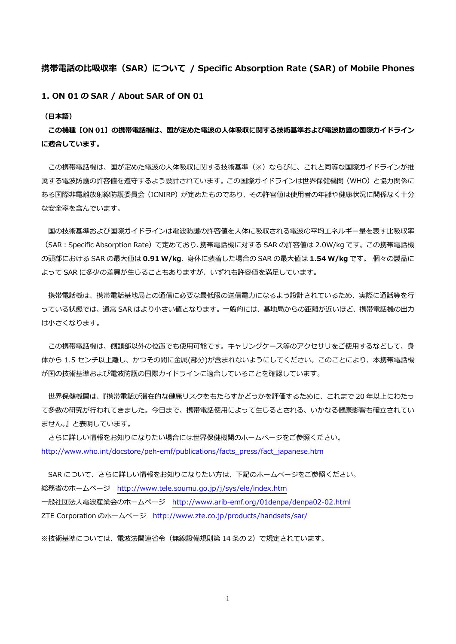## **携帯電話の⽐吸収率(SAR)について / Specific Absorption Rate (SAR) of Mobile Phones**

**1. ON 01 の SAR / About SAR of ON 01** 

**(⽇本語)** 

**この機種【ON 01】の携帯電話機は、国が定めた電波の⼈体吸収に関する技術基準および電波防護の国際ガイドライン に適合しています。** 

この携帯電話機は、国が定めた電波の人体吸収に関する技術基準(※)ならびに、これと同等な国際ガイドラインが推 奨する電波防護の許容値を遵守するよう設計されています。この国際ガイドラインは世界保健機関(WHO)と協力関係に ある国際非電離放射線防護委員会 (ICNIRP) が定めたものであり、その許容値は使用者の年齢や健康状況に関係なく十分 な安全率を含んでいます。

国の技術基準および国際ガイドラインは電波防護の許容値を人体に吸収される電波の平均エネルギー量を表す比吸収率 (SAR︓Specific Absorption Rate)で定めており、携帯電話機に対する SAR の許容値は 2.0W/kg です。この携帯電話機 の頭部における SAR の最⼤値は **0.91 W/kg**、⾝体に装着した場合の SAR の最⼤値は **1.54 W/kg** です。 個々の製品に よって SAR に多少の差異が⽣じることもありますが、いずれも許容値を満⾜しています。

携帯電話機は、携帯電話基地局との通信に必要な最低限の送信電力になるよう設計されているため、実際に通話等を行 っている状態では、通常 SAR はより小さい値となります。一般的には、基地局からの距離が近いほど、携帯電話機の出力 は⼩さくなります。

この携帯電話機は、側頭部以外の位置でも使用可能です。キャリングケース等のアクセサリをご使用するなどして、身 体から 1.5 センチ以上離し、かつその間に金属(部分)が含まれないようにしてください。このことにより、本携帯電話機 が国の技術基準および電波防護の国際ガイドラインに適合していることを確認しています。

 世界保健機関は、『携帯電話が潜在的な健康リスクをもたらすかどうかを評価するために、これまで 20 年以上にわたっ て多数の研究が行われてきました。今日まで、携帯電話使用によって生じるとされる、いかなる健康影響も確立されてい ません。』と表明しています。

 さらに詳しい情報をお知りになりたい場合には世界保健機関のホームページをご参照ください。 http://www.who.int/docstore/peh-emf/publications/facts\_press/fact\_japanese.htm

SAR について、さらに詳しい情報をお知りになりたい方は、下記のホームページをご参照ください。 総務省のホームページ http://www.tele.soumu.go.jp/j/sys/ele/index.htm ⼀般社団法⼈電波産業会のホームページ http://www.arib-emf.org/01denpa/denpa02-02.html ZTE Corporation のホームページ http://www.zte.co.jp/products/handsets/sar/

※技術基準については、電波法関連省令(無線設備規則第14条の2)で規定されています。